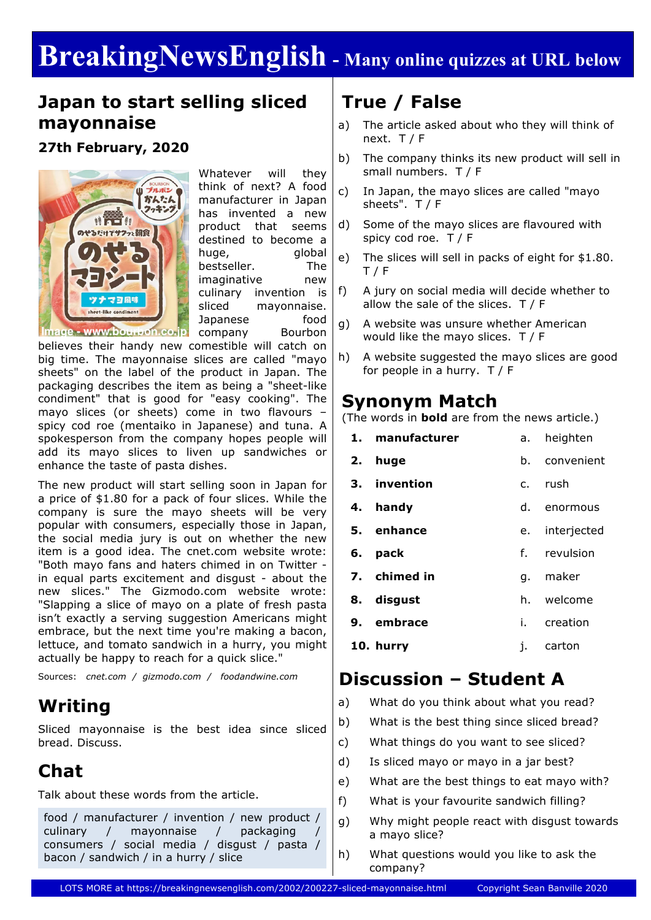# **BreakingNewsEnglish - Many online quizzes at URL below**

#### **Japan to start selling sliced mayonnaise**

#### **27th February, 2020**



Whatever will they think of next? A food manufacturer in Japan has invented a new product that seems destined to become a huge, global bestseller. The imaginative new culinary invention is sliced mayonnaise. Japanese food company Bourbon

Image - www.bourbon.co.jp

believes their handy new comestible will catch on big time. The mayonnaise slices are called "mayo sheets" on the label of the product in Japan. The packaging describes the item as being a "sheet-like condiment" that is good for "easy cooking". The mayo slices (or sheets) come in two flavours – spicy cod roe (mentaiko in Japanese) and tuna. A spokesperson from the company hopes people will add its mayo slices to liven up sandwiches or enhance the taste of pasta dishes.

The new product will start selling soon in Japan for a price of \$1.80 for a pack of four slices. While the company is sure the mayo sheets will be very popular with consumers, especially those in Japan, the social media jury is out on whether the new item is a good idea. The cnet.com website wrote: "Both mayo fans and haters chimed in on Twitter in equal parts excitement and disgust - about the new slices." The Gizmodo.com website wrote: "Slapping a slice of mayo on a plate of fresh pasta isn't exactly a serving suggestion Americans might embrace, but the next time you're making a bacon, lettuce, and tomato sandwich in a hurry, you might actually be happy to reach for a quick slice."

Sources: *cnet.com / gizmodo.com / foodandwine.com*

#### **Writing**

Sliced mayonnaise is the best idea since sliced bread. Discuss.

### **Chat**

Talk about these words from the article.

food / manufacturer / invention / new product / culinary / mayonnaise / packaging consumers / social media / disgust / pasta / bacon / sandwich / in a hurry / slice

#### **True / False**

- a) The article asked about who they will think of next. T / F
- b) The company thinks its new product will sell in small numbers. T / F
- c) In Japan, the mayo slices are called "mayo sheets". T / F
- d) Some of the mayo slices are flavoured with spicy cod roe. T / F
- e) The slices will sell in packs of eight for \$1.80. T / F
- f) A jury on social media will decide whether to allow the sale of the slices. T / F
- g) A website was unsure whether American would like the mayo slices. T / F
- h) A website suggested the mayo slices are good for people in a hurry. T / F

#### **Synonym Match**

(The words in **bold** are from the news article.)

|    | 1. manufacturer | а.             | heighten       |  |
|----|-----------------|----------------|----------------|--|
| 2. | huge            | b.             | convenient     |  |
|    | 3. invention    | C <sub>1</sub> | rush           |  |
|    | 4. handy        | d.             | enormous       |  |
|    | 5. enhance      |                | e. interjected |  |
| 6. | pack            |                | f. revulsion   |  |
|    | 7. chimed in    | q.             | maker          |  |
|    | 8. disgust      |                | h. welcome     |  |
|    | 9. embrace      | i.             | creation       |  |
|    | 10. hurry       | j.             | carton         |  |
|    |                 |                |                |  |

### **Discussion – Student A**

- a) What do you think about what you read?
- b) What is the best thing since sliced bread?
- c) What things do you want to see sliced?
- d) Is sliced mayo or mayo in a jar best?
- e) What are the best things to eat mayo with?
- f) What is your favourite sandwich filling?
- g) Why might people react with disgust towards a mayo slice?
- h) What questions would you like to ask the company?